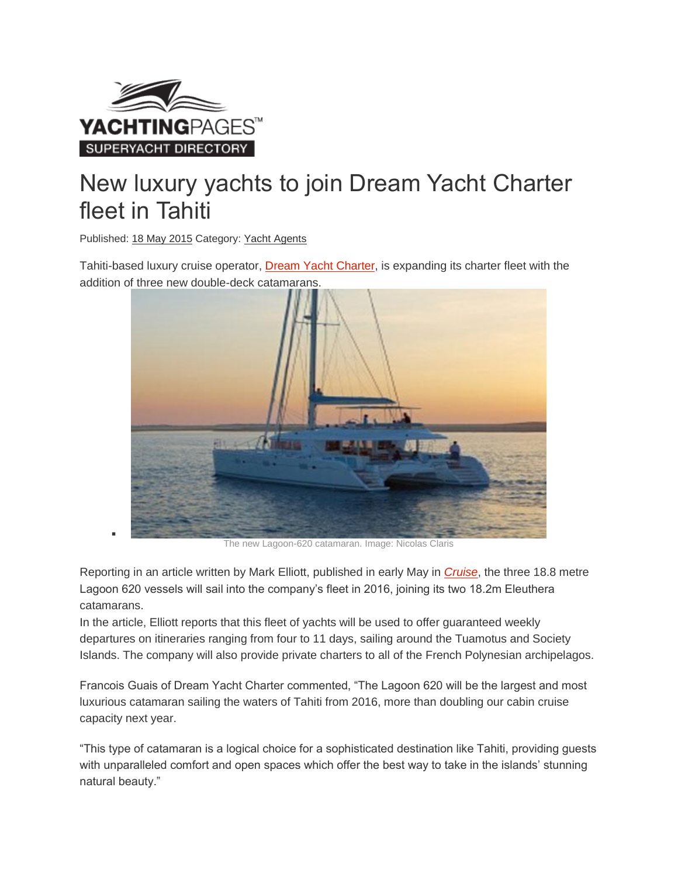

## New luxury yachts to join Dream Yacht Charter fleet in Tahiti

Published: 18 May [2015](http://www.yachting-pages.com/superyacht_news/news-archive/cat/empty/date/2015-05-18/to/2015-05-18) Category: Yacht [Agents](http://www.yachting-pages.com/superyacht_news/news-archive/cat/175/date/empty/to/empty)

×

Tahiti-based luxury cruise operator, Dream Yacht [Charter,](http://www.yachting-pages.com/yacht-charter-brokerage/dream-yacht-charter/fr.html) is expanding its charter fleet with the addition of three new double-deck catamarans.



The new Lagoon-620 catamaran. Image: Nicolas Claris

Reporting in an article written by Mark Elliott, published in early May in *[Cruise](http://www.traveldailymedia.com/news/cruise/)*, the three 18.8 metre Lagoon 620 vessels will sail into the company's fleet in 2016, joining its two 18.2m Eleuthera catamarans.

In the article, Elliott reports that this fleet of yachts will be used to offer guaranteed weekly departures on itineraries ranging from four to 11 days, sailing around the Tuamotus and Society Islands. The company will also provide private charters to all of the French Polynesian archipelagos.

Francois Guais of Dream Yacht Charter commented, "The Lagoon 620 will be the largest and most luxurious catamaran sailing the waters of Tahiti from 2016, more than doubling our cabin cruise capacity next year.

"This type of catamaran is a logical choice for a sophisticated destination like Tahiti, providing guests with unparalleled comfort and open spaces which offer the best way to take in the islands' stunning natural beauty."